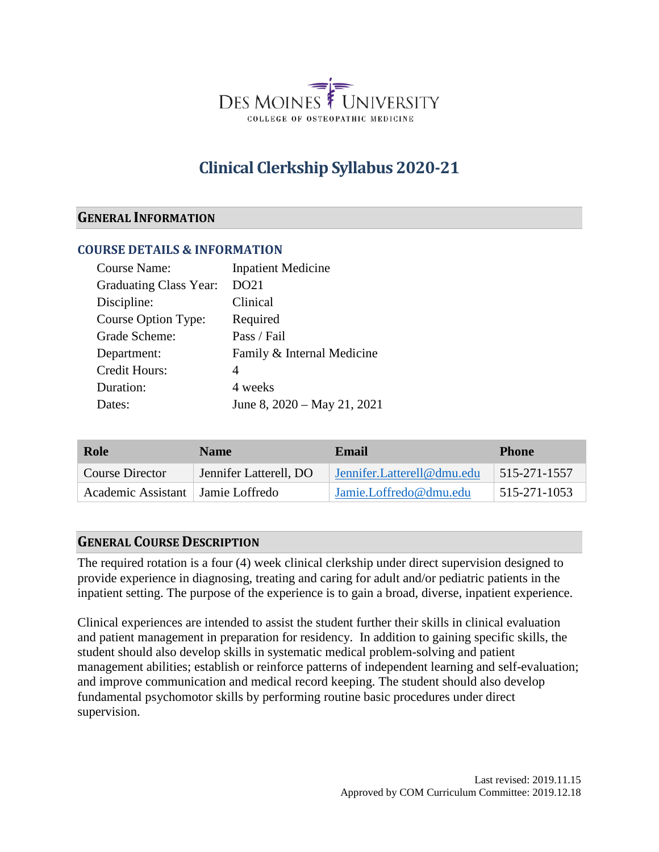

# **Clinical Clerkship Syllabus 2020-21**

## **GENERAL INFORMATION**

#### **COURSE DETAILS & INFORMATION**

| <b>Course Name:</b>    | <b>Inpatient Medicine</b>        |
|------------------------|----------------------------------|
| Graduating Class Year: | DO21                             |
| Discipline:            | Clinical                         |
| Course Option Type:    | Required                         |
| Grade Scheme:          | Pass / Fail                      |
| Department:            | Family & Internal Medicine       |
| <b>Credit Hours:</b>   | 4                                |
| Duration:              | 4 weeks                          |
| Dates:                 | June 8, $2020 - May 21$ , $2021$ |
|                        |                                  |

| Role                                | <b>Name</b>            | Email                      | <b>Phone</b>               |
|-------------------------------------|------------------------|----------------------------|----------------------------|
| <b>Course Director</b>              | Jennifer Latterell, DO | Jennifer.Latterell@dmu.edu | $\mid$ 515-271-1557        |
| Academic Assistant   Jamie Loffredo |                        | Jamie.Loffredo@dmu.edu     | $\frac{1}{5}$ 515-271-1053 |

### **GENERAL COURSE DESCRIPTION**

The required rotation is a four (4) week clinical clerkship under direct supervision designed to provide experience in diagnosing, treating and caring for adult and/or pediatric patients in the inpatient setting. The purpose of the experience is to gain a broad, diverse, inpatient experience.

Clinical experiences are intended to assist the student further their skills in clinical evaluation and patient management in preparation for residency. In addition to gaining specific skills, the student should also develop skills in systematic medical problem-solving and patient management abilities; establish or reinforce patterns of independent learning and self-evaluation; and improve communication and medical record keeping. The student should also develop fundamental psychomotor skills by performing routine basic procedures under direct supervision.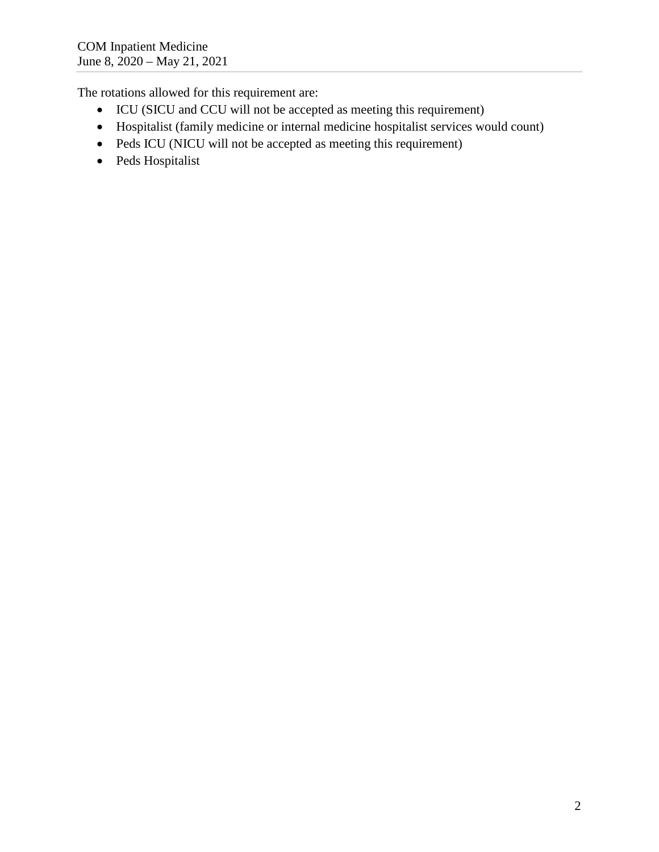The rotations allowed for this requirement are:

- ICU (SICU and CCU will not be accepted as meeting this requirement)
- Hospitalist (family medicine or internal medicine hospitalist services would count)
- Peds ICU (NICU will not be accepted as meeting this requirement)
- Peds Hospitalist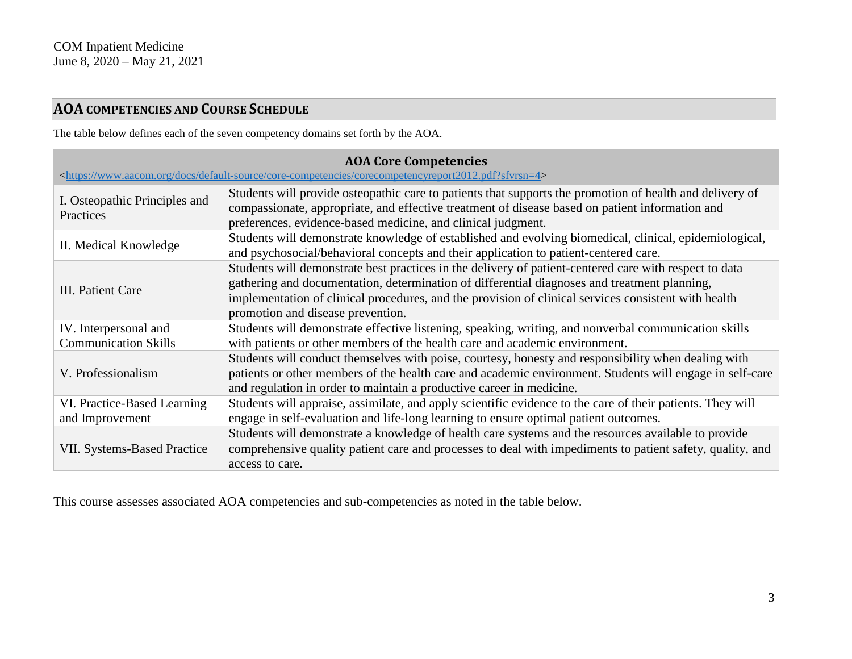# **AOA COMPETENCIES AND COURSE SCHEDULE**

The table below defines each of the seven competency domains set forth by the AOA.

| <b>AOA Core Competencies</b><br><https: core-competencies="" corecompetencyreport2012.pdf?sfvrsn="4" default-source="" docs="" www.aacom.org=""></https:> |                                                                                                                                                                                                                                                                                                                                                     |  |  |
|-----------------------------------------------------------------------------------------------------------------------------------------------------------|-----------------------------------------------------------------------------------------------------------------------------------------------------------------------------------------------------------------------------------------------------------------------------------------------------------------------------------------------------|--|--|
| I. Osteopathic Principles and<br>Practices                                                                                                                | Students will provide osteopathic care to patients that supports the promotion of health and delivery of<br>compassionate, appropriate, and effective treatment of disease based on patient information and<br>preferences, evidence-based medicine, and clinical judgment.                                                                         |  |  |
| II. Medical Knowledge                                                                                                                                     | Students will demonstrate knowledge of established and evolving biomedical, clinical, epidemiological,<br>and psychosocial/behavioral concepts and their application to patient-centered care.                                                                                                                                                      |  |  |
| III. Patient Care                                                                                                                                         | Students will demonstrate best practices in the delivery of patient-centered care with respect to data<br>gathering and documentation, determination of differential diagnoses and treatment planning,<br>implementation of clinical procedures, and the provision of clinical services consistent with health<br>promotion and disease prevention. |  |  |
| IV. Interpersonal and                                                                                                                                     | Students will demonstrate effective listening, speaking, writing, and nonverbal communication skills                                                                                                                                                                                                                                                |  |  |
| <b>Communication Skills</b>                                                                                                                               | with patients or other members of the health care and academic environment.                                                                                                                                                                                                                                                                         |  |  |
| V. Professionalism                                                                                                                                        | Students will conduct themselves with poise, courtesy, honesty and responsibility when dealing with<br>patients or other members of the health care and academic environment. Students will engage in self-care<br>and regulation in order to maintain a productive career in medicine.                                                             |  |  |
| VI. Practice-Based Learning<br>and Improvement                                                                                                            | Students will appraise, assimilate, and apply scientific evidence to the care of their patients. They will<br>engage in self-evaluation and life-long learning to ensure optimal patient outcomes.                                                                                                                                                  |  |  |
| <b>VII. Systems-Based Practice</b>                                                                                                                        | Students will demonstrate a knowledge of health care systems and the resources available to provide<br>comprehensive quality patient care and processes to deal with impediments to patient safety, quality, and<br>access to care.                                                                                                                 |  |  |

This course assesses associated AOA competencies and sub-competencies as noted in the table below.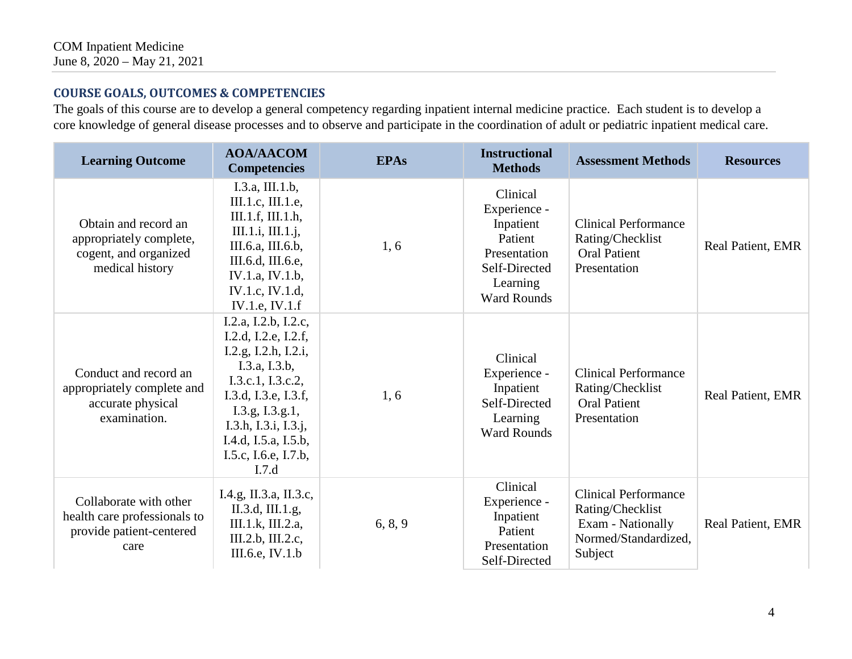# **COURSE GOALS, OUTCOMES & COMPETENCIES**

The goals of this course are to develop a general competency regarding inpatient internal medicine practice. Each student is to develop a core knowledge of general disease processes and to observe and participate in the coordination of adult or pediatric inpatient medical care.

| <b>Learning Outcome</b>                                                                     | <b>AOA/AACOM</b><br><b>Competencies</b>                                                                                                                                                                                                | <b>EPAs</b> | <b>Instructional</b><br><b>Methods</b>                                                                              | <b>Assessment Methods</b>                                                                               | <b>Resources</b>         |
|---------------------------------------------------------------------------------------------|----------------------------------------------------------------------------------------------------------------------------------------------------------------------------------------------------------------------------------------|-------------|---------------------------------------------------------------------------------------------------------------------|---------------------------------------------------------------------------------------------------------|--------------------------|
| Obtain and record an<br>appropriately complete,<br>cogent, and organized<br>medical history | I.3.a, III.1.b,<br>III.1.c, III.1.e,<br>III.1.f, III.1.h,<br>III.1.i, III.1.j,<br>III.6.a, III.6.b,<br>III.6.d, III.6.e,<br>IV.1.a, IV.1.b,<br>IV.1.c, IV.1.d,<br>IV.1.e, IV.1. $f$                                                    | 1, 6        | Clinical<br>Experience -<br>Inpatient<br>Patient<br>Presentation<br>Self-Directed<br>Learning<br><b>Ward Rounds</b> | <b>Clinical Performance</b><br>Rating/Checklist<br><b>Oral Patient</b><br>Presentation                  | Real Patient, EMR        |
| Conduct and record an<br>appropriately complete and<br>accurate physical<br>examination.    | I.2.a, I.2.b, I.2.c,<br>I.2.d, I.2.e, I.2.f,<br>I.2.g, I.2.h, I.2.i,<br>I.3.a, I.3.b,<br>I.3.c.1, I.3.c.2,<br>I.3.d, I.3.e, I.3.f,<br>I.3.g, I.3.g.1,<br>I.3.h, I.3.i, I.3.j,<br>I.4.d, I.5.a, I.5.b,<br>I.5.c, I.6.e, I.7.b,<br>I.7.d | 1, 6        | Clinical<br>Experience -<br>Inpatient<br>Self-Directed<br>Learning<br><b>Ward Rounds</b>                            | <b>Clinical Performance</b><br>Rating/Checklist<br><b>Oral Patient</b><br>Presentation                  | <b>Real Patient, EMR</b> |
| Collaborate with other<br>health care professionals to<br>provide patient-centered<br>care  | I.4.g, II.3.a, II.3.c,<br>II.3.d, III.1.g,<br>III.1.k, III.2.a,<br>III.2.b, III.2.c,<br>III.6.e, IV.1.b                                                                                                                                | 6, 8, 9     | Clinical<br>Experience -<br>Inpatient<br>Patient<br>Presentation<br>Self-Directed                                   | <b>Clinical Performance</b><br>Rating/Checklist<br>Exam - Nationally<br>Normed/Standardized,<br>Subject | <b>Real Patient, EMR</b> |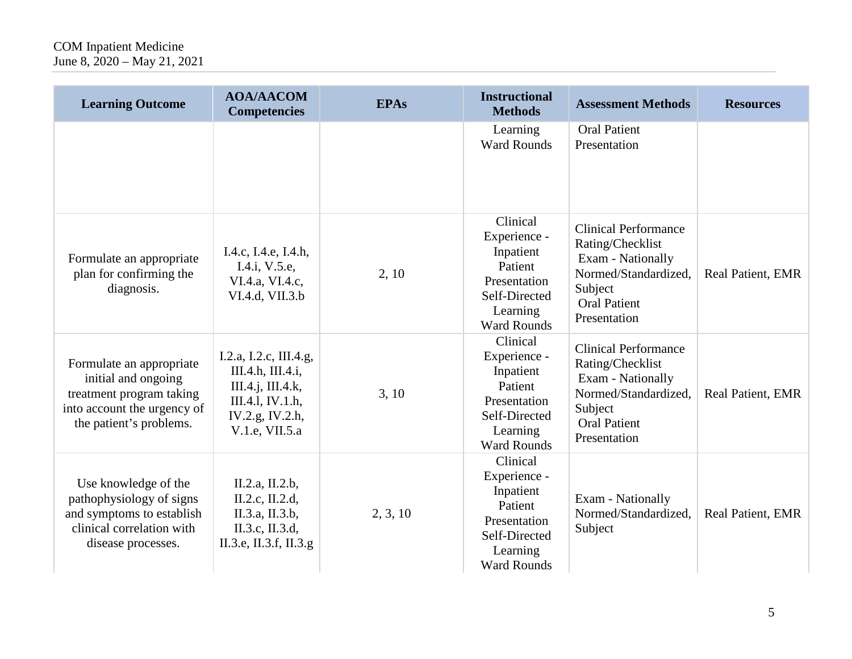| <b>Learning Outcome</b>                                                                                                               | <b>AOA/AACOM</b><br><b>Competencies</b>                                                                                   | <b>EPAs</b> | <b>Instructional</b><br><b>Methods</b>                                                                              | <b>Assessment Methods</b>                                                                                                                      | <b>Resources</b>         |
|---------------------------------------------------------------------------------------------------------------------------------------|---------------------------------------------------------------------------------------------------------------------------|-------------|---------------------------------------------------------------------------------------------------------------------|------------------------------------------------------------------------------------------------------------------------------------------------|--------------------------|
|                                                                                                                                       |                                                                                                                           |             | Learning<br><b>Ward Rounds</b>                                                                                      | <b>Oral Patient</b><br>Presentation                                                                                                            |                          |
| Formulate an appropriate<br>plan for confirming the<br>diagnosis.                                                                     | I.4.c, I.4.e, I.4.h,<br>I.4.i, V.5.e,<br>VI.4.a, VI.4.c,<br>VI.4.d, VII.3.b                                               | 2, 10       | Clinical<br>Experience -<br>Inpatient<br>Patient<br>Presentation<br>Self-Directed<br>Learning<br><b>Ward Rounds</b> | <b>Clinical Performance</b><br>Rating/Checklist<br>Exam - Nationally<br>Normed/Standardized,<br>Subject<br><b>Oral Patient</b><br>Presentation | Real Patient, EMR        |
| Formulate an appropriate<br>initial and ongoing<br>treatment program taking<br>into account the urgency of<br>the patient's problems. | I.2.a, I.2.c, III.4.g,<br>III.4.h, III.4.i,<br>III.4.j, III.4.k,<br>III.4.1, IV.1.h,<br>IV.2.g, IV.2.h,<br>V.1.e, VII.5.a | 3, 10       | Clinical<br>Experience -<br>Inpatient<br>Patient<br>Presentation<br>Self-Directed<br>Learning<br><b>Ward Rounds</b> | <b>Clinical Performance</b><br>Rating/Checklist<br>Exam - Nationally<br>Normed/Standardized.<br>Subject<br><b>Oral Patient</b><br>Presentation | <b>Real Patient, EMR</b> |
| Use knowledge of the<br>pathophysiology of signs<br>and symptoms to establish<br>clinical correlation with<br>disease processes.      | II.2.a, II.2.b,<br>II.2.c, II.2.d,<br>II.3.a, II.3.b,<br>II.3.c, II.3.d,<br>II.3.e, II.3.f, II.3.g                        | 2, 3, 10    | Clinical<br>Experience -<br>Inpatient<br>Patient<br>Presentation<br>Self-Directed<br>Learning<br><b>Ward Rounds</b> | Exam - Nationally<br>Normed/Standardized,<br>Subject                                                                                           | <b>Real Patient, EMR</b> |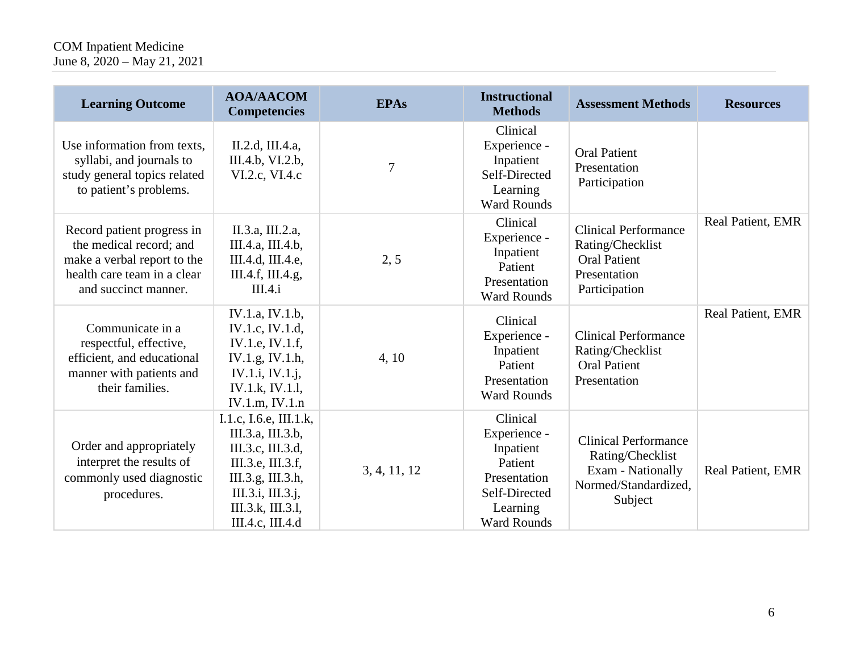#### COM Inpatient Medicine June 8, 2020 – May 21, 2021

| <b>Learning Outcome</b>                                                                                                                     | <b>AOA/AACOM</b><br><b>Competencies</b>                                                                                                                                  | <b>EPAs</b>  | <b>Instructional</b><br><b>Methods</b>                                                                              | <b>Assessment Methods</b>                                                                               | <b>Resources</b>         |
|---------------------------------------------------------------------------------------------------------------------------------------------|--------------------------------------------------------------------------------------------------------------------------------------------------------------------------|--------------|---------------------------------------------------------------------------------------------------------------------|---------------------------------------------------------------------------------------------------------|--------------------------|
| Use information from texts.<br>syllabi, and journals to<br>study general topics related<br>to patient's problems.                           | II.2.d, III.4.a,<br>III.4.b, VI.2.b,<br>VI.2.c, VI.4.c                                                                                                                   | 7            | Clinical<br>Experience -<br>Inpatient<br>Self-Directed<br>Learning<br><b>Ward Rounds</b>                            | <b>Oral Patient</b><br>Presentation<br>Participation                                                    |                          |
| Record patient progress in<br>the medical record; and<br>make a verbal report to the<br>health care team in a clear<br>and succinct manner. | II.3.a, III.2.a,<br>III.4.a, III.4.b,<br>III.4.d, III.4.e,<br>III.4.f, III.4.g,<br>III.4.i                                                                               | 2, 5         | Clinical<br>Experience -<br>Inpatient<br>Patient<br>Presentation<br><b>Ward Rounds</b>                              | <b>Clinical Performance</b><br>Rating/Checklist<br><b>Oral Patient</b><br>Presentation<br>Participation | Real Patient, EMR        |
| Communicate in a<br>respectful, effective,<br>efficient, and educational<br>manner with patients and<br>their families.                     | IV.1.a, IV.1.b,<br>IV.1.c, IV.1.d,<br>IV.1.e, IV.1.f,<br>IV.1.g, IV.1.h,<br>IV.1.i, IV.1.j,<br>IV.1.k, IV.1.l,<br>IV.1.m, IV.1.n                                         | 4, 10        | Clinical<br>Experience -<br>Inpatient<br>Patient<br>Presentation<br><b>Ward Rounds</b>                              | <b>Clinical Performance</b><br>Rating/Checklist<br><b>Oral Patient</b><br>Presentation                  | <b>Real Patient, EMR</b> |
| Order and appropriately<br>interpret the results of<br>commonly used diagnostic<br>procedures.                                              | I.1.c, I.6.e, III.1.k,<br>III.3.a, III.3.b,<br>III.3.c, III.3.d,<br>III.3.e, III.3.f,<br>III.3.g, III.3.h,<br>III.3.i, III.3.j,<br>III.3.k, III.3.l,<br>III.4.c, III.4.d | 3, 4, 11, 12 | Clinical<br>Experience -<br>Inpatient<br>Patient<br>Presentation<br>Self-Directed<br>Learning<br><b>Ward Rounds</b> | <b>Clinical Performance</b><br>Rating/Checklist<br>Exam - Nationally<br>Normed/Standardized,<br>Subject | Real Patient, EMR        |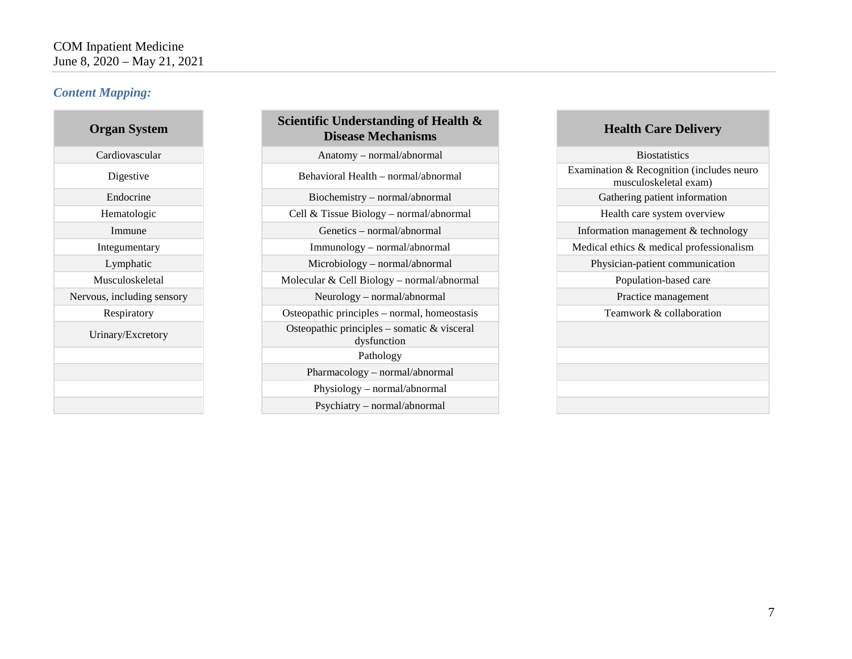# *Content Mapping:*

| <b>Organ System</b>        |
|----------------------------|
| Cardiovascular             |
| Digestive                  |
| Endocrine                  |
| Hematologic                |
| Immune                     |
| Integumentary              |
| Lymphatic                  |
| Musculoskeletal            |
| Nervous, including sensory |
| Respiratory                |
| Urinary/Excretory          |
|                            |
|                            |
|                            |
|                            |

# **Scientific Understanding of Health & Disease Mechanisms** Anatomy – normal/abnormal

Behavioral Health – normal/abnormal Biochemistry – normal/abnormal Cell & Tissue Biology – normal/abnormal Genetics – normal/abnormal  $Immunology-normal/abnormal$ Microbiology – normal/abnormal Molecular & Cell Biology – normal/abnormal Neurology – normal/abnormal Osteopathic principles – normal, homeostasis Osteopathic principles – somatic  $&$  visceral dysfunction Pathology Pharmacology – normal/abnormal Physiology – normal/abnormal Psychiatry – normal/abnormal

#### **Health Care Delivery**

| <b>Biostatistics</b>                                               |
|--------------------------------------------------------------------|
| Examination & Recognition (includes neuro<br>musculoskeletal exam) |
| Gathering patient information                                      |
| Health care system overview                                        |
| Information management & technology                                |
| Medical ethics & medical professionalism                           |
| Physician-patient communication                                    |
| Population-based care                                              |
| Practice management                                                |
| Teamwork & collaboration                                           |
|                                                                    |
|                                                                    |
|                                                                    |
|                                                                    |
|                                                                    |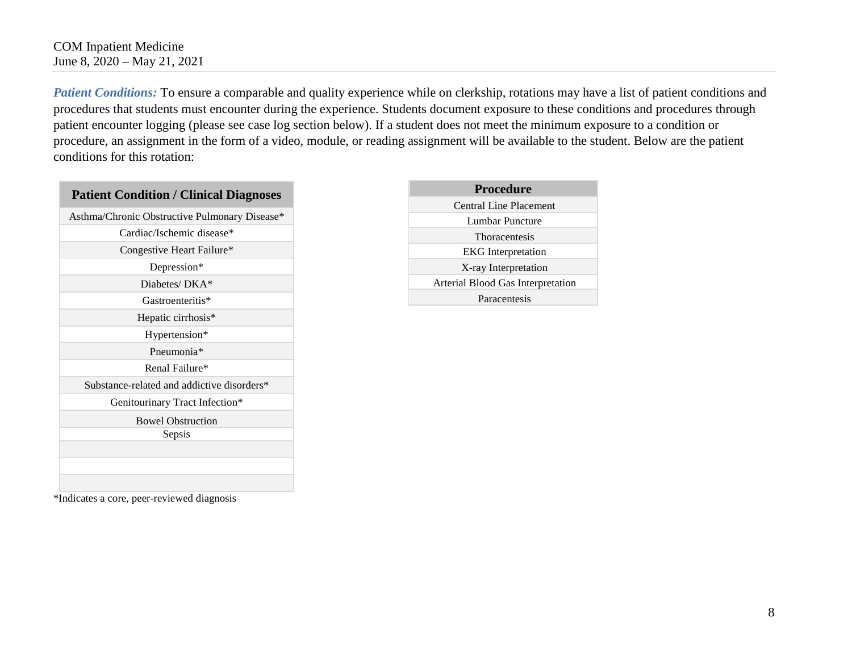#### COM Inpatient Medicine June 8, 2020 – May 21, 2021

*Patient Conditions:* To ensure a comparable and quality experience while on clerkship, rotations may have a list of patient conditions and procedures that students must encounter during the experience. Students document exposure to these conditions and procedures through patient encounter logging (please see case log section below). If a student does not meet the minimum exposure to a condition or procedure, an assignment in the form of a video, module, or reading assignment will be available to the student. Below are the patient conditions for this rotation:

# **Patient Condition / Clinical Diagnoses**

| Asthma/Chronic Obstructive Pulmonary Disease* |
|-----------------------------------------------|
| Cardiac/Ischemic disease*                     |
| Congestive Heart Failure*                     |
| Depression*                                   |
| Diabetes/DKA*                                 |
| Gastroenteritis*                              |
| Hepatic cirrhosis*                            |
| Hypertension*                                 |
| Pneumonia*                                    |
| Renal Failure*                                |
| Substance-related and addictive disorders*    |
| Genitourinary Tract Infection*                |
| <b>Bowel Obstruction</b>                      |
| Sepsis                                        |
|                                               |
|                                               |
|                                               |

\*Indicates a core, peer-reviewed diagnosis

| <b>Procedure</b>                  |  |
|-----------------------------------|--|
| Central Line Placement            |  |
| Lumbar Puncture                   |  |
| <b>Thoracentesis</b>              |  |
| <b>EKG</b> Interpretation         |  |
| X-ray Interpretation              |  |
| Arterial Blood Gas Interpretation |  |
| Paracentesis                      |  |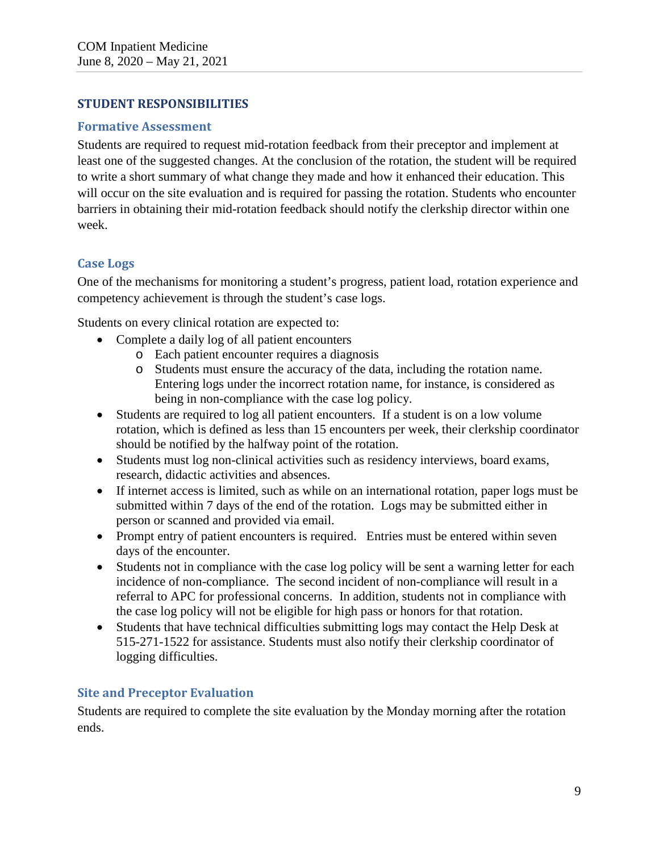# **STUDENT RESPONSIBILITIES**

#### **Formative Assessment**

Students are required to request mid-rotation feedback from their preceptor and implement at least one of the suggested changes. At the conclusion of the rotation, the student will be required to write a short summary of what change they made and how it enhanced their education. This will occur on the site evaluation and is required for passing the rotation. Students who encounter barriers in obtaining their mid-rotation feedback should notify the clerkship director within one week.

# **Case Logs**

One of the mechanisms for monitoring a student's progress, patient load, rotation experience and competency achievement is through the student's case logs.

Students on every clinical rotation are expected to:

- Complete a daily log of all patient encounters
	- o Each patient encounter requires a diagnosis
	- o Students must ensure the accuracy of the data, including the rotation name. Entering logs under the incorrect rotation name, for instance, is considered as being in non-compliance with the case log policy.
- Students are required to log all patient encounters. If a student is on a low volume rotation, which is defined as less than 15 encounters per week, their clerkship coordinator should be notified by the halfway point of the rotation.
- Students must log non-clinical activities such as residency interviews, board exams, research, didactic activities and absences.
- If internet access is limited, such as while on an international rotation, paper logs must be submitted within 7 days of the end of the rotation. Logs may be submitted either in person or scanned and provided via email.
- Prompt entry of patient encounters is required. Entries must be entered within seven days of the encounter.
- Students not in compliance with the case log policy will be sent a warning letter for each incidence of non-compliance. The second incident of non-compliance will result in a referral to APC for professional concerns. In addition, students not in compliance with the case log policy will not be eligible for high pass or honors for that rotation.
- Students that have technical difficulties submitting logs may contact the Help Desk at 515-271-1522 for assistance. Students must also notify their clerkship coordinator of logging difficulties.

# **Site and Preceptor Evaluation**

Students are required to complete the site evaluation by the Monday morning after the rotation ends.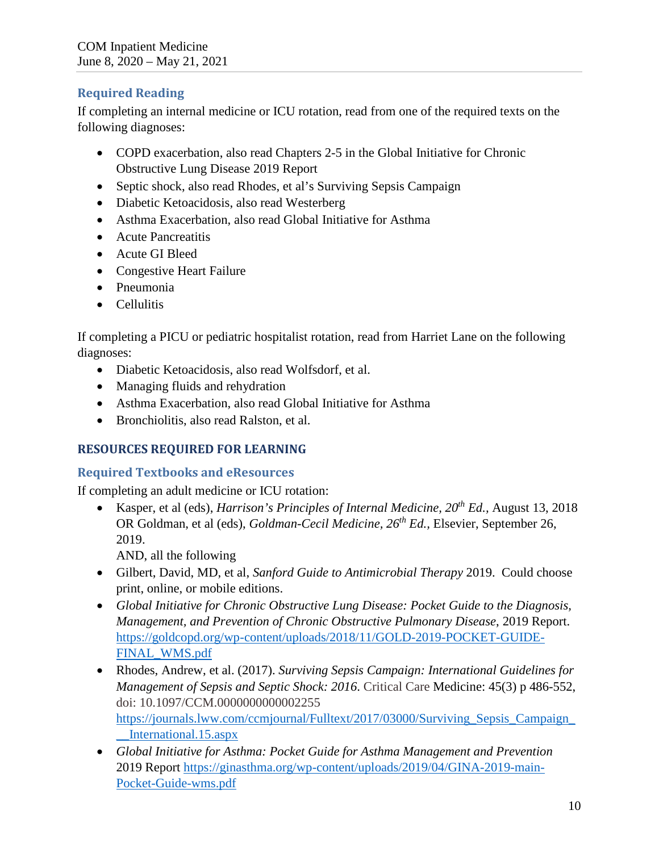# **Required Reading**

If completing an internal medicine or ICU rotation, read from one of the required texts on the following diagnoses:

- COPD exacerbation, also read Chapters 2-5 in the Global Initiative for Chronic Obstructive Lung Disease 2019 Report
- Septic shock, also read Rhodes, et al's Surviving Sepsis Campaign
- Diabetic Ketoacidosis, also read Westerberg
- Asthma Exacerbation, also read Global Initiative for Asthma
- Acute Pancreatitis
- Acute GI Bleed
- Congestive Heart Failure
- Pneumonia
- Cellulitis

If completing a PICU or pediatric hospitalist rotation, read from Harriet Lane on the following diagnoses:

- Diabetic Ketoacidosis, also read Wolfsdorf, et al.
- Managing fluids and rehydration
- Asthma Exacerbation, also read Global Initiative for Asthma
- Bronchiolitis, also read Ralston, et al.

# **RESOURCES REQUIRED FOR LEARNING**

### **Required Textbooks and eResources**

If completing an adult medicine or ICU rotation:

- Kasper, et al (eds), *Harrison's Principles of Internal Medicine, 20th Ed.,* August 13, 2018 OR Goldman, et al (eds), *Goldman-Cecil Medicine, 26th Ed.,* Elsevier, September 26, 2019.
	- AND, all the following
- Gilbert, David, MD, et al, *Sanford Guide to Antimicrobial Therapy* 2019. Could choose print, online, or mobile editions.
- *Global Initiative for Chronic Obstructive Lung Disease: Pocket Guide to the Diagnosis, Management, and Prevention of Chronic Obstructive Pulmonary Disease*, 2019 Report. [https://goldcopd.org/wp-content/uploads/2018/11/GOLD-2019-POCKET-GUIDE-](https://goldcopd.org/wp-content/uploads/2018/11/GOLD-2019-POCKET-GUIDE-FINAL_WMS.pdf)[FINAL\\_WMS.pdf](https://goldcopd.org/wp-content/uploads/2018/11/GOLD-2019-POCKET-GUIDE-FINAL_WMS.pdf)
- Rhodes, Andrew, et al. (2017). *Surviving Sepsis Campaign: International Guidelines for Management of Sepsis and Septic Shock: 2016*. Critical Care Medicine: 45(3) p 486-552, doi: 10.1097/CCM.0000000000002255 https://journals.lww.com/ccmjournal/Fulltext/2017/03000/Surviving Sepsis Campaign [\\_\\_International.15.aspx](https://journals.lww.com/ccmjournal/Fulltext/2017/03000/Surviving_Sepsis_Campaign___International.15.aspx)
- *Global Initiative for Asthma: Pocket Guide for Asthma Management and Prevention* 2019 Report [https://ginasthma.org/wp-content/uploads/2019/04/GINA-2019-main-](https://ginasthma.org/wp-content/uploads/2019/04/GINA-2019-main-Pocket-Guide-wms.pdf)[Pocket-Guide-wms.pdf](https://ginasthma.org/wp-content/uploads/2019/04/GINA-2019-main-Pocket-Guide-wms.pdf)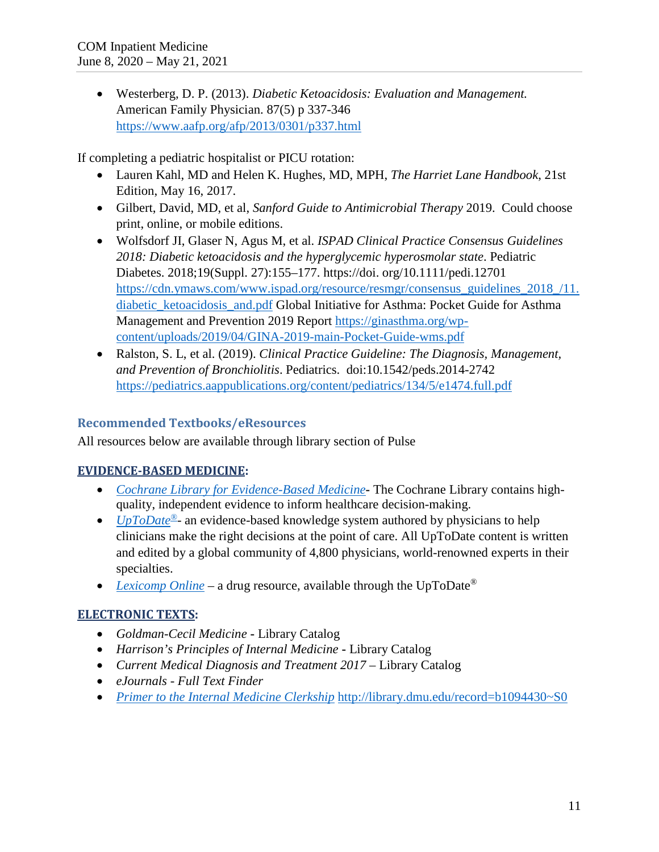• Westerberg, D. P. (2013). *Diabetic Ketoacidosis: Evaluation and Management.* American Family Physician. 87(5) p 337-346 <https://www.aafp.org/afp/2013/0301/p337.html>

If completing a pediatric hospitalist or PICU rotation:

- Lauren Kahl, MD and Helen K. Hughes, MD, MPH, *The Harriet Lane Handbook*, 21st Edition, May 16, 2017.
- Gilbert, David, MD, et al, *Sanford Guide to Antimicrobial Therapy* 2019. Could choose print, online, or mobile editions.
- Wolfsdorf JI, Glaser N, Agus M, et al. *ISPAD Clinical Practice Consensus Guidelines 2018: Diabetic ketoacidosis and the hyperglycemic hyperosmolar state*. Pediatric Diabetes. 2018;19(Suppl. 27):155–177. https://doi. org/10.1111/pedi.12701 [https://cdn.ymaws.com/www.ispad.org/resource/resmgr/consensus\\_guidelines\\_2018\\_/11.](https://cdn.ymaws.com/www.ispad.org/resource/resmgr/consensus_guidelines_2018_/11.diabetic_ketoacidosis_and.pdf) [diabetic\\_ketoacidosis\\_and.pdf](https://cdn.ymaws.com/www.ispad.org/resource/resmgr/consensus_guidelines_2018_/11.diabetic_ketoacidosis_and.pdf) Global Initiative for Asthma: Pocket Guide for Asthma Management and Prevention 2019 Report [https://ginasthma.org/wp](https://ginasthma.org/wp-content/uploads/2019/04/GINA-2019-main-Pocket-Guide-wms.pdf)[content/uploads/2019/04/GINA-2019-main-Pocket-Guide-wms.pdf](https://ginasthma.org/wp-content/uploads/2019/04/GINA-2019-main-Pocket-Guide-wms.pdf)
- Ralston, S. L, et al. (2019). *Clinical Practice Guideline: The Diagnosis, Management, and Prevention of Bronchiolitis*. Pediatrics. doi:10.1542/peds.2014-2742 <https://pediatrics.aappublications.org/content/pediatrics/134/5/e1474.full.pdf>

## **Recommended Textbooks/eResources**

All resources below are available through library section of Pulse

# **EVIDENCE-BASED MEDICINE:**

- *[Cochrane Library for Evidence-Based Medicine](https://www.cochranelibrary.com/)***-** The Cochrane Library contains highquality, independent evidence to inform healthcare decision-making.
- *UpToDate*<sup>®</sup>- an evidence-based knowledge system authored by physicians to help clinicians make the right decisions at the point of care. All UpToDate content is written and edited by a global community of 4,800 physicians, world-renowned experts in their specialties.
- *[Lexicomp Online](https://login.dmu.idm.oclc.org/login)* a drug resource, available through the UpToDate<sup>®</sup>

### **ELECTRONIC TEXTS:**

- *Goldman-Cecil Medicine* **-** Library Catalog
- *Harrison's Principles of Internal Medicine* **-** Library Catalog
- *Current Medical Diagnosis and Treatment 2017* Library Catalog
- *eJournals - Full Text Finder*
- *Primer to the Internal Medicine Clerkship* [http://library.dmu.edu/record=b1094430~S0](http://library.dmu.edu/record=b1094430%7ES0)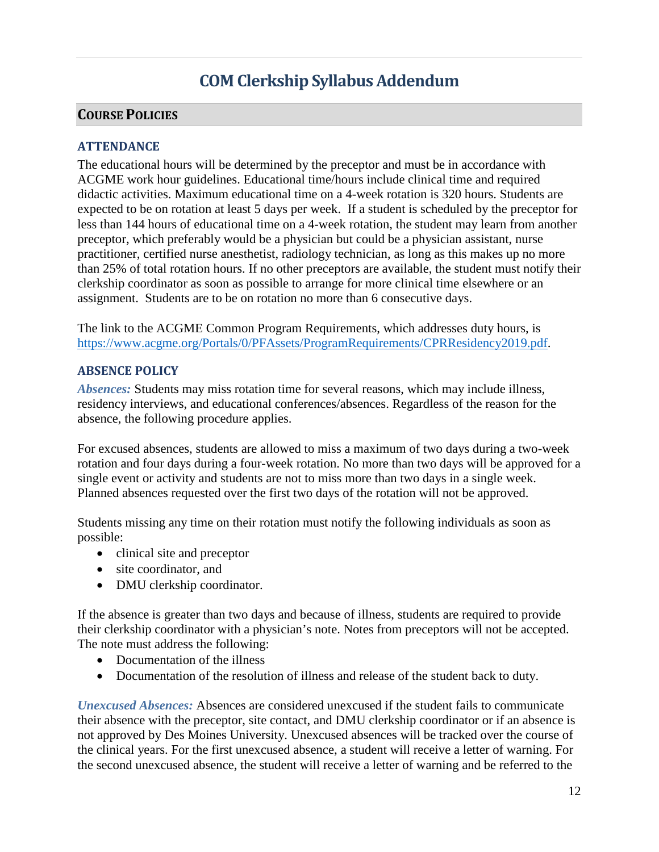# **COM Clerkship Syllabus Addendum**

# **COURSE POLICIES**

## **ATTENDANCE**

The educational hours will be determined by the preceptor and must be in accordance with ACGME work hour guidelines. Educational time/hours include clinical time and required didactic activities. Maximum educational time on a 4-week rotation is 320 hours. Students are expected to be on rotation at least 5 days per week. If a student is scheduled by the preceptor for less than 144 hours of educational time on a 4-week rotation, the student may learn from another preceptor, which preferably would be a physician but could be a physician assistant, nurse practitioner, certified nurse anesthetist, radiology technician, as long as this makes up no more than 25% of total rotation hours. If no other preceptors are available, the student must notify their clerkship coordinator as soon as possible to arrange for more clinical time elsewhere or an assignment. Students are to be on rotation no more than 6 consecutive days.

The link to the ACGME Common Program Requirements, which addresses duty hours, is [https://www.acgme.org/Portals/0/PFAssets/ProgramRequirements/CPRResidency2019.pdf.](https://www.acgme.org/Portals/0/PFAssets/ProgramRequirements/CPRResidency2019.pdf)

#### **ABSENCE POLICY**

*Absences:* Students may miss rotation time for several reasons, which may include illness, residency interviews, and educational conferences/absences. Regardless of the reason for the absence, the following procedure applies.

For excused absences, students are allowed to miss a maximum of two days during a two-week rotation and four days during a four-week rotation. No more than two days will be approved for a single event or activity and students are not to miss more than two days in a single week. Planned absences requested over the first two days of the rotation will not be approved.

Students missing any time on their rotation must notify the following individuals as soon as possible:

- clinical site and preceptor
- site coordinator, and
- DMU clerkship coordinator.

If the absence is greater than two days and because of illness, students are required to provide their clerkship coordinator with a physician's note. Notes from preceptors will not be accepted. The note must address the following:

- Documentation of the illness
- Documentation of the resolution of illness and release of the student back to duty.

*Unexcused Absences:* Absences are considered unexcused if the student fails to communicate their absence with the preceptor, site contact, and DMU clerkship coordinator or if an absence is not approved by Des Moines University. Unexcused absences will be tracked over the course of the clinical years. For the first unexcused absence, a student will receive a letter of warning. For the second unexcused absence, the student will receive a letter of warning and be referred to the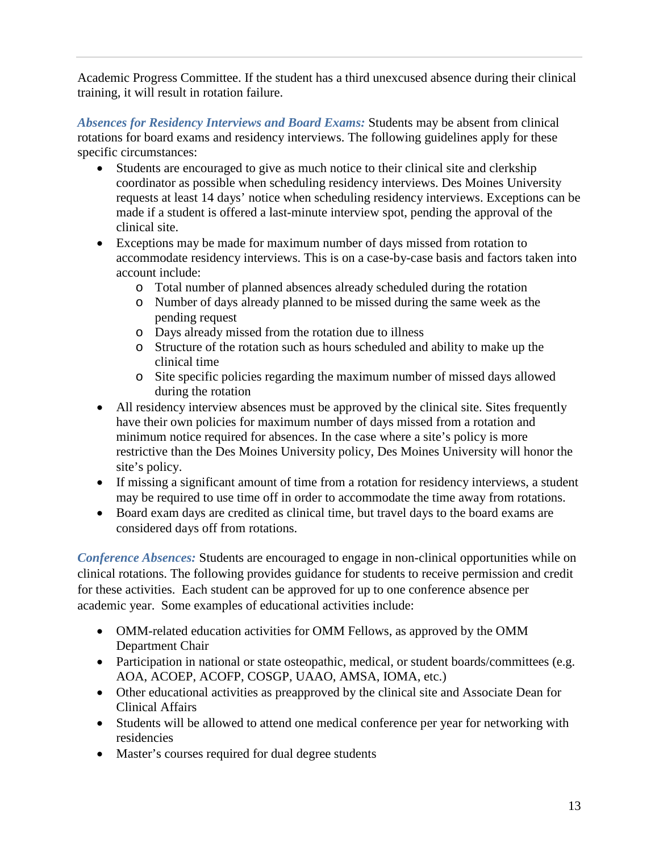Academic Progress Committee. If the student has a third unexcused absence during their clinical training, it will result in rotation failure.

*Absences for Residency Interviews and Board Exams:* Students may be absent from clinical rotations for board exams and residency interviews. The following guidelines apply for these specific circumstances:

- Students are encouraged to give as much notice to their clinical site and clerkship coordinator as possible when scheduling residency interviews. Des Moines University requests at least 14 days' notice when scheduling residency interviews. Exceptions can be made if a student is offered a last-minute interview spot, pending the approval of the clinical site.
- Exceptions may be made for maximum number of days missed from rotation to accommodate residency interviews. This is on a case-by-case basis and factors taken into account include:
	- o Total number of planned absences already scheduled during the rotation
	- o Number of days already planned to be missed during the same week as the pending request
	- o Days already missed from the rotation due to illness
	- o Structure of the rotation such as hours scheduled and ability to make up the clinical time
	- o Site specific policies regarding the maximum number of missed days allowed during the rotation
- All residency interview absences must be approved by the clinical site. Sites frequently have their own policies for maximum number of days missed from a rotation and minimum notice required for absences. In the case where a site's policy is more restrictive than the Des Moines University policy, Des Moines University will honor the site's policy.
- If missing a significant amount of time from a rotation for residency interviews, a student may be required to use time off in order to accommodate the time away from rotations.
- Board exam days are credited as clinical time, but travel days to the board exams are considered days off from rotations.

*Conference Absences:* Students are encouraged to engage in non-clinical opportunities while on clinical rotations. The following provides guidance for students to receive permission and credit for these activities. Each student can be approved for up to one conference absence per academic year. Some examples of educational activities include:

- OMM-related education activities for OMM Fellows, as approved by the OMM Department Chair
- Participation in national or state osteopathic, medical, or student boards/committees (e.g. AOA, ACOEP, ACOFP, COSGP, UAAO, AMSA, IOMA, etc.)
- Other educational activities as preapproved by the clinical site and Associate Dean for Clinical Affairs
- Students will be allowed to attend one medical conference per year for networking with residencies
- Master's courses required for dual degree students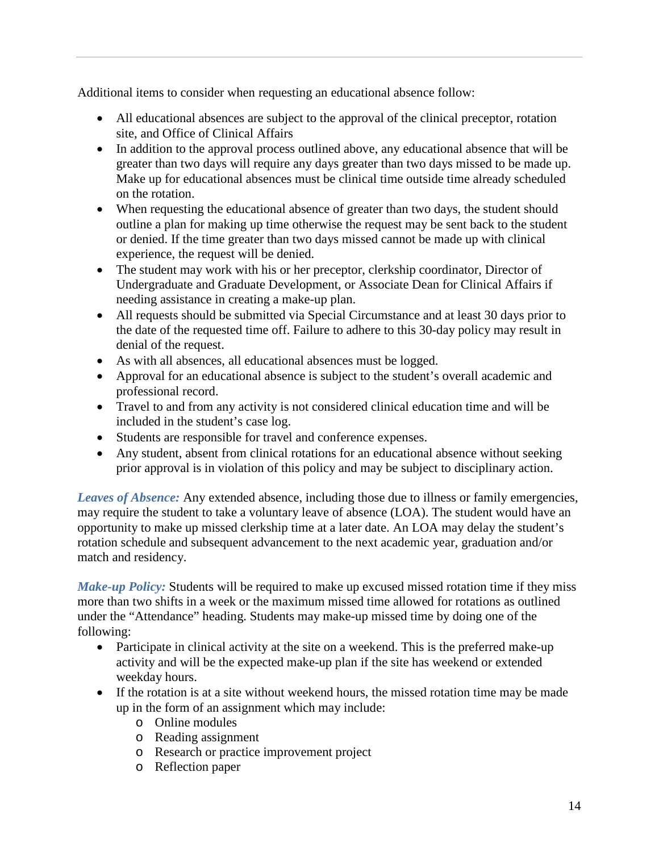Additional items to consider when requesting an educational absence follow:

- All educational absences are subject to the approval of the clinical preceptor, rotation site, and Office of Clinical Affairs
- In addition to the approval process outlined above, any educational absence that will be greater than two days will require any days greater than two days missed to be made up. Make up for educational absences must be clinical time outside time already scheduled on the rotation.
- When requesting the educational absence of greater than two days, the student should outline a plan for making up time otherwise the request may be sent back to the student or denied. If the time greater than two days missed cannot be made up with clinical experience, the request will be denied.
- The student may work with his or her preceptor, clerkship coordinator, Director of Undergraduate and Graduate Development, or Associate Dean for Clinical Affairs if needing assistance in creating a make-up plan.
- All requests should be submitted via Special Circumstance and at least 30 days prior to the date of the requested time off. Failure to adhere to this 30-day policy may result in denial of the request.
- As with all absences, all educational absences must be logged.
- Approval for an educational absence is subject to the student's overall academic and professional record.
- Travel to and from any activity is not considered clinical education time and will be included in the student's case log.
- Students are responsible for travel and conference expenses.
- Any student, absent from clinical rotations for an educational absence without seeking prior approval is in violation of this policy and may be subject to disciplinary action.

*Leaves of Absence:* Any extended absence, including those due to illness or family emergencies, may require the student to take a voluntary leave of absence (LOA). The student would have an opportunity to make up missed clerkship time at a later date. An LOA may delay the student's rotation schedule and subsequent advancement to the next academic year, graduation and/or match and residency.

*Make-up Policy:* Students will be required to make up excused missed rotation time if they miss more than two shifts in a week or the maximum missed time allowed for rotations as outlined under the "Attendance" heading. Students may make-up missed time by doing one of the following:

- Participate in clinical activity at the site on a weekend. This is the preferred make-up activity and will be the expected make-up plan if the site has weekend or extended weekday hours.
- If the rotation is at a site without weekend hours, the missed rotation time may be made up in the form of an assignment which may include:
	- o Online modules
	- o Reading assignment
	- o Research or practice improvement project
	- o Reflection paper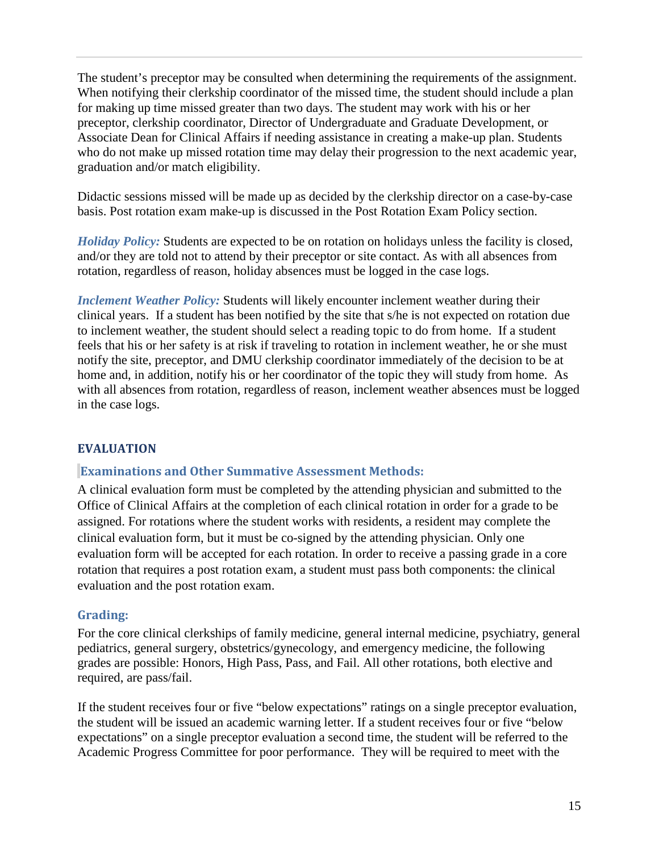The student's preceptor may be consulted when determining the requirements of the assignment. When notifying their clerkship coordinator of the missed time, the student should include a plan for making up time missed greater than two days. The student may work with his or her preceptor, clerkship coordinator, Director of Undergraduate and Graduate Development, or Associate Dean for Clinical Affairs if needing assistance in creating a make-up plan. Students who do not make up missed rotation time may delay their progression to the next academic year, graduation and/or match eligibility.

Didactic sessions missed will be made up as decided by the clerkship director on a case-by-case basis. Post rotation exam make-up is discussed in the Post Rotation Exam Policy section.

*Holiday Policy:* Students are expected to be on rotation on holidays unless the facility is closed, and/or they are told not to attend by their preceptor or site contact. As with all absences from rotation, regardless of reason, holiday absences must be logged in the case logs.

*Inclement Weather Policy:* Students will likely encounter inclement weather during their clinical years. If a student has been notified by the site that s/he is not expected on rotation due to inclement weather, the student should select a reading topic to do from home. If a student feels that his or her safety is at risk if traveling to rotation in inclement weather, he or she must notify the site, preceptor, and DMU clerkship coordinator immediately of the decision to be at home and, in addition, notify his or her coordinator of the topic they will study from home. As with all absences from rotation, regardless of reason, inclement weather absences must be logged in the case logs.

### **EVALUATION**

### **Examinations and Other Summative Assessment Methods:**

A clinical evaluation form must be completed by the attending physician and submitted to the Office of Clinical Affairs at the completion of each clinical rotation in order for a grade to be assigned. For rotations where the student works with residents, a resident may complete the clinical evaluation form, but it must be co-signed by the attending physician. Only one evaluation form will be accepted for each rotation. In order to receive a passing grade in a core rotation that requires a post rotation exam, a student must pass both components: the clinical evaluation and the post rotation exam.

#### **Grading:**

For the core clinical clerkships of family medicine, general internal medicine, psychiatry, general pediatrics, general surgery, obstetrics/gynecology, and emergency medicine, the following grades are possible: Honors, High Pass, Pass, and Fail. All other rotations, both elective and required, are pass/fail.

If the student receives four or five "below expectations" ratings on a single preceptor evaluation, the student will be issued an academic warning letter. If a student receives four or five "below expectations" on a single preceptor evaluation a second time, the student will be referred to the Academic Progress Committee for poor performance. They will be required to meet with the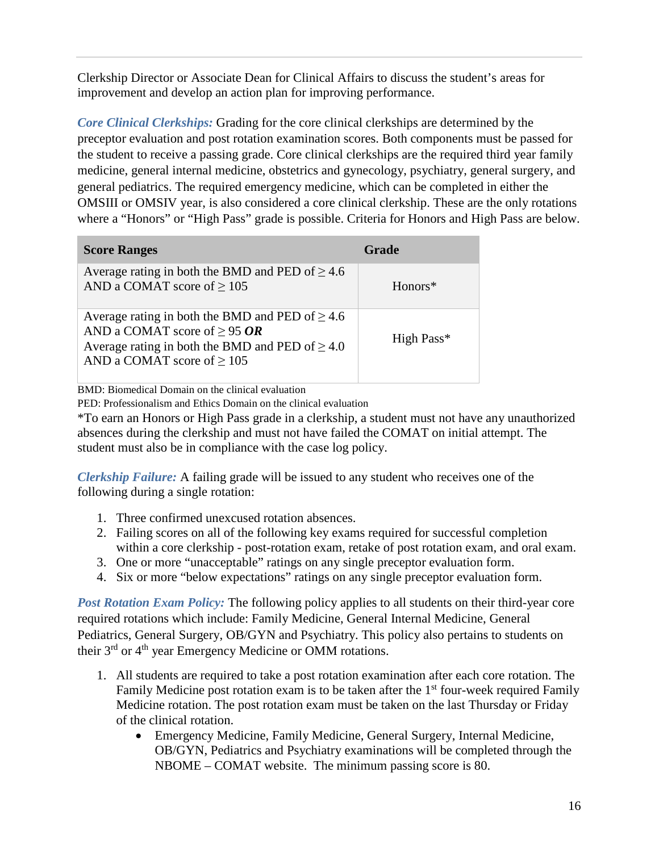Clerkship Director or Associate Dean for Clinical Affairs to discuss the student's areas for improvement and develop an action plan for improving performance.

*Core Clinical Clerkships:* Grading for the core clinical clerkships are determined by the preceptor evaluation and post rotation examination scores. Both components must be passed for the student to receive a passing grade. Core clinical clerkships are the required third year family medicine, general internal medicine, obstetrics and gynecology, psychiatry, general surgery, and general pediatrics. The required emergency medicine, which can be completed in either the OMSIII or OMSIV year, is also considered a core clinical clerkship. These are the only rotations where a "Honors" or "High Pass" grade is possible. Criteria for Honors and High Pass are below.

| <b>Score Ranges</b>                                                                                                                                                                  | Grade      |
|--------------------------------------------------------------------------------------------------------------------------------------------------------------------------------------|------------|
| Average rating in both the BMD and PED of $\geq 4.6$<br>AND a COMAT score of $\geq$ 105                                                                                              | $Honors*$  |
| Average rating in both the BMD and PED of $\geq 4.6$<br>AND a COMAT score of $\geq$ 95 OR<br>Average rating in both the BMD and PED of $\geq 4.0$<br>AND a COMAT score of $\geq$ 105 | High Pass* |

BMD: Biomedical Domain on the clinical evaluation

PED: Professionalism and Ethics Domain on the clinical evaluation

\*To earn an Honors or High Pass grade in a clerkship, a student must not have any unauthorized absences during the clerkship and must not have failed the COMAT on initial attempt. The student must also be in compliance with the case log policy.

*Clerkship Failure:* A failing grade will be issued to any student who receives one of the following during a single rotation:

- 1. Three confirmed unexcused rotation absences.
- 2. Failing scores on all of the following key exams required for successful completion within a core clerkship - post-rotation exam, retake of post rotation exam, and oral exam.
- 3. One or more "unacceptable" ratings on any single preceptor evaluation form.
- 4. Six or more "below expectations" ratings on any single preceptor evaluation form.

*Post Rotation Exam Policy:* The following policy applies to all students on their third-year core required rotations which include: Family Medicine, General Internal Medicine, General Pediatrics, General Surgery, OB/GYN and Psychiatry. This policy also pertains to students on their 3<sup>rd</sup> or 4<sup>th</sup> year Emergency Medicine or OMM rotations.

- 1. All students are required to take a post rotation examination after each core rotation. The Family Medicine post rotation exam is to be taken after the  $1<sup>st</sup>$  four-week required Family Medicine rotation. The post rotation exam must be taken on the last Thursday or Friday of the clinical rotation.
	- Emergency Medicine, Family Medicine, General Surgery, Internal Medicine, OB/GYN, Pediatrics and Psychiatry examinations will be completed through the NBOME – COMAT website. The minimum passing score is 80.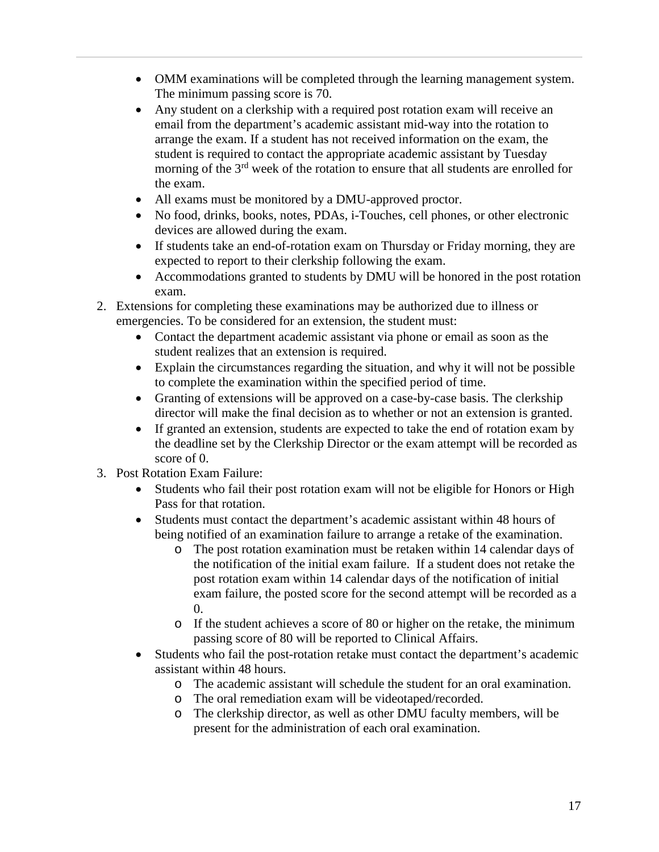- OMM examinations will be completed through the learning management system. The minimum passing score is 70.
- Any student on a clerkship with a required post rotation exam will receive an email from the department's academic assistant mid-way into the rotation to arrange the exam. If a student has not received information on the exam, the student is required to contact the appropriate academic assistant by Tuesday morning of the 3<sup>rd</sup> week of the rotation to ensure that all students are enrolled for the exam.
- All exams must be monitored by a DMU-approved proctor.
- No food, drinks, books, notes, PDAs, i-Touches, cell phones, or other electronic devices are allowed during the exam.
- If students take an end-of-rotation exam on Thursday or Friday morning, they are expected to report to their clerkship following the exam.
- Accommodations granted to students by DMU will be honored in the post rotation exam.
- 2. Extensions for completing these examinations may be authorized due to illness or emergencies. To be considered for an extension, the student must:
	- Contact the department academic assistant via phone or email as soon as the student realizes that an extension is required.
	- Explain the circumstances regarding the situation, and why it will not be possible to complete the examination within the specified period of time.
	- Granting of extensions will be approved on a case-by-case basis. The clerkship director will make the final decision as to whether or not an extension is granted.
	- If granted an extension, students are expected to take the end of rotation exam by the deadline set by the Clerkship Director or the exam attempt will be recorded as score of 0.
- 3. Post Rotation Exam Failure:
	- Students who fail their post rotation exam will not be eligible for Honors or High Pass for that rotation.
	- Students must contact the department's academic assistant within 48 hours of being notified of an examination failure to arrange a retake of the examination.
		- o The post rotation examination must be retaken within 14 calendar days of the notification of the initial exam failure. If a student does not retake the post rotation exam within 14 calendar days of the notification of initial exam failure, the posted score for the second attempt will be recorded as a 0.
		- o If the student achieves a score of 80 or higher on the retake, the minimum passing score of 80 will be reported to Clinical Affairs.
	- Students who fail the post-rotation retake must contact the department's academic assistant within 48 hours.
		- o The academic assistant will schedule the student for an oral examination.
		- The oral remediation exam will be videotaped/recorded.
		- o The clerkship director, as well as other DMU faculty members, will be present for the administration of each oral examination.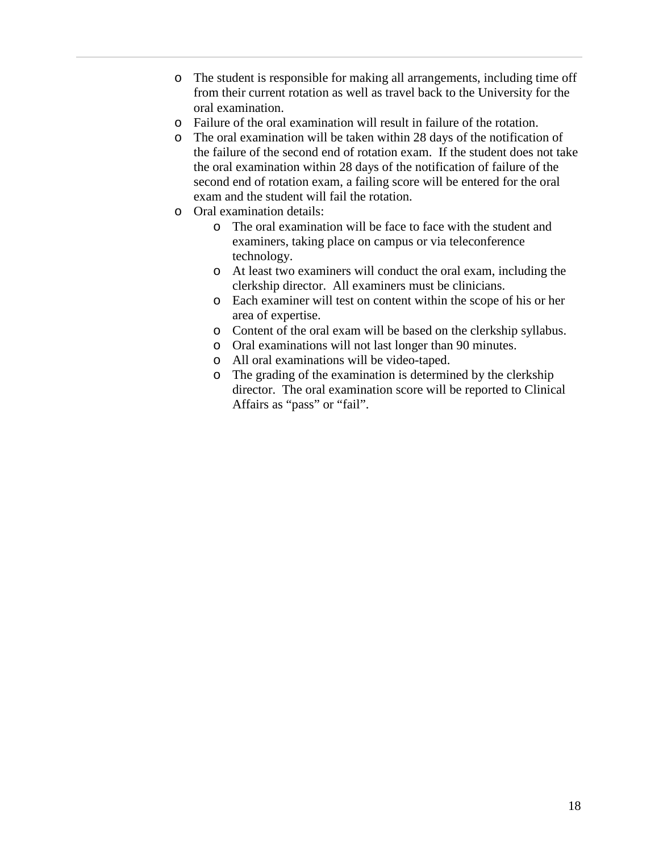- o The student is responsible for making all arrangements, including time off from their current rotation as well as travel back to the University for the oral examination.
- o Failure of the oral examination will result in failure of the rotation.
- o The oral examination will be taken within 28 days of the notification of the failure of the second end of rotation exam. If the student does not take the oral examination within 28 days of the notification of failure of the second end of rotation exam, a failing score will be entered for the oral exam and the student will fail the rotation.
- o Oral examination details:
	- o The oral examination will be face to face with the student and examiners, taking place on campus or via teleconference technology.
	- o At least two examiners will conduct the oral exam, including the clerkship director. All examiners must be clinicians.
	- o Each examiner will test on content within the scope of his or her area of expertise.
	- o Content of the oral exam will be based on the clerkship syllabus.
	- o Oral examinations will not last longer than 90 minutes.
	- o All oral examinations will be video-taped.
	- o The grading of the examination is determined by the clerkship director. The oral examination score will be reported to Clinical Affairs as "pass" or "fail".